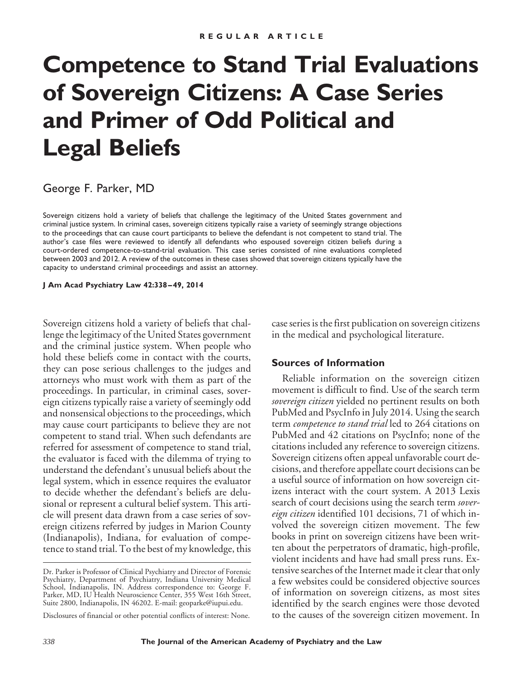# **Competence to Stand Trial Evaluations of Sovereign Citizens: A Case Series and Primer of Odd Political and Legal Beliefs**

# George F. Parker, MD

Sovereign citizens hold a variety of beliefs that challenge the legitimacy of the United States government and criminal justice system. In criminal cases, sovereign citizens typically raise a variety of seemingly strange objections to the proceedings that can cause court participants to believe the defendant is not competent to stand trial. The author's case files were reviewed to identify all defendants who espoused sovereign citizen beliefs during a court-ordered competence-to-stand-trial evaluation. This case series consisted of nine evaluations completed between 2003 and 2012. A review of the outcomes in these cases showed that sovereign citizens typically have the capacity to understand criminal proceedings and assist an attorney.

**J Am Acad Psychiatry Law 42:338 – 49, 2014**

Sovereign citizens hold a variety of beliefs that challenge the legitimacy of the United States government and the criminal justice system. When people who hold these beliefs come in contact with the courts, they can pose serious challenges to the judges and attorneys who must work with them as part of the proceedings. In particular, in criminal cases, sovereign citizens typically raise a variety of seemingly odd and nonsensical objections to the proceedings, which may cause court participants to believe they are not competent to stand trial. When such defendants are referred for assessment of competence to stand trial, the evaluator is faced with the dilemma of trying to understand the defendant's unusual beliefs about the legal system, which in essence requires the evaluator to decide whether the defendant's beliefs are delusional or represent a cultural belief system. This article will present data drawn from a case series of sovereign citizens referred by judges in Marion County (Indianapolis), Indiana, for evaluation of competence to stand trial. To the best of my knowledge, this case series is the first publication on sovereign citizens in the medical and psychological literature.

#### **Sources of Information**

Reliable information on the sovereign citizen movement is difficult to find. Use of the search term *sovereign citizen* yielded no pertinent results on both PubMed and PsycInfo in July 2014. Using the search term *competence to stand trial* led to 264 citations on PubMed and 42 citations on PsycInfo; none of the citations included any reference to sovereign citizens. Sovereign citizens often appeal unfavorable court decisions, and therefore appellate court decisions can be a useful source of information on how sovereign citizens interact with the court system. A 2013 Lexis search of court decisions using the search term *sovereign citizen* identified 101 decisions, 71 of which involved the sovereign citizen movement. The few books in print on sovereign citizens have been written about the perpetrators of dramatic, high-profile, violent incidents and have had small press runs. Extensive searches of the Internet made it clear that only a few websites could be considered objective sources of information on sovereign citizens, as most sites identified by the search engines were those devoted to the causes of the sovereign citizen movement. In

Dr. Parker is Professor of Clinical Psychiatry and Director of Forensic Psychiatry, Department of Psychiatry, Indiana University Medical School, Indianapolis, IN. Address correspondence to: George F. Parker, MD, IU Health Neuroscience Center, 355 West 16th Street, Suite 2800, Indianapolis, IN 46202. E-mail: geoparke@iupui.edu.

Disclosures of financial or other potential conflicts of interest: None.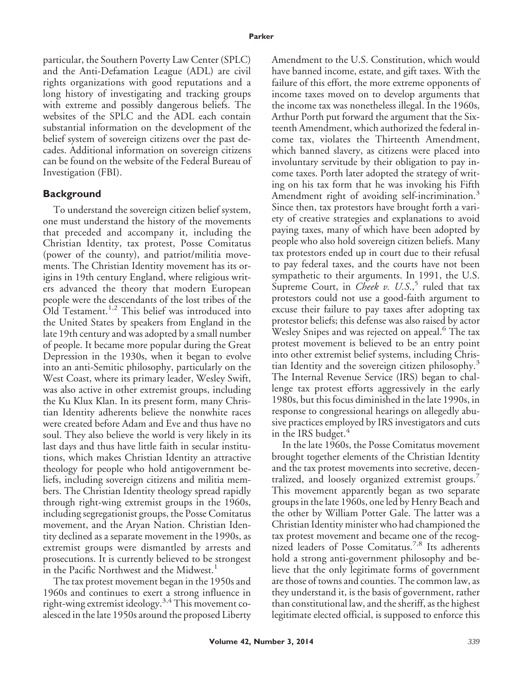particular, the Southern Poverty Law Center (SPLC) and the Anti-Defamation League (ADL) are civil rights organizations with good reputations and a long history of investigating and tracking groups with extreme and possibly dangerous beliefs. The websites of the SPLC and the ADL each contain substantial information on the development of the belief system of sovereign citizens over the past decades. Additional information on sovereign citizens can be found on the website of the Federal Bureau of Investigation (FBI).

#### **Background**

To understand the sovereign citizen belief system, one must understand the history of the movements that preceded and accompany it, including the Christian Identity, tax protest, Posse Comitatus (power of the county), and patriot/militia movements. The Christian Identity movement has its origins in 19th century England, where religious writers advanced the theory that modern European people were the descendants of the lost tribes of the Old Testament.<sup>1,2</sup> This belief was introduced into the United States by speakers from England in the late 19th century and was adopted by a small number of people. It became more popular during the Great Depression in the 1930s, when it began to evolve into an anti-Semitic philosophy, particularly on the West Coast, where its primary leader, Wesley Swift, was also active in other extremist groups, including the Ku Klux Klan. In its present form, many Christian Identity adherents believe the nonwhite races were created before Adam and Eve and thus have no soul. They also believe the world is very likely in its last days and thus have little faith in secular institutions, which makes Christian Identity an attractive theology for people who hold antigovernment beliefs, including sovereign citizens and militia members. The Christian Identity theology spread rapidly through right-wing extremist groups in the 1960s, including segregationist groups, the Posse Comitatus movement, and the Aryan Nation. Christian Identity declined as a separate movement in the 1990s, as extremist groups were dismantled by arrests and prosecutions. It is currently believed to be strongest in the Pacific Northwest and the Midwest.<sup>1</sup>

The tax protest movement began in the 1950s and 1960s and continues to exert a strong influence in right-wing extremist ideology.<sup>3,4</sup> This movement coalesced in the late 1950s around the proposed Liberty Amendment to the U.S. Constitution, which would have banned income, estate, and gift taxes. With the failure of this effort, the more extreme opponents of income taxes moved on to develop arguments that the income tax was nonetheless illegal. In the 1960s, Arthur Porth put forward the argument that the Sixteenth Amendment, which authorized the federal income tax, violates the Thirteenth Amendment, which banned slavery, as citizens were placed into involuntary servitude by their obligation to pay income taxes. Porth later adopted the strategy of writing on his tax form that he was invoking his Fifth Amendment right of avoiding self-incrimination.<sup>3</sup> Since then, tax protestors have brought forth a variety of creative strategies and explanations to avoid paying taxes, many of which have been adopted by people who also hold sovereign citizen beliefs. Many tax protestors ended up in court due to their refusal to pay federal taxes, and the courts have not been sympathetic to their arguments. In 1991, the U.S. Supreme Court, in *Cheek v. U.S.*,<sup>5</sup> ruled that tax protestors could not use a good-faith argument to excuse their failure to pay taxes after adopting tax protestor beliefs; this defense was also raised by actor Wesley Snipes and was rejected on appeal.<sup>6</sup> The tax protest movement is believed to be an entry point into other extremist belief systems, including Christian Identity and the sovereign citizen philosophy.<sup>3</sup> The Internal Revenue Service (IRS) began to challenge tax protest efforts aggressively in the early 1980s, but this focus diminished in the late 1990s, in response to congressional hearings on allegedly abusive practices employed by IRS investigators and cuts in the IRS budget. $4$ 

In the late 1960s, the Posse Comitatus movement brought together elements of the Christian Identity and the tax protest movements into secretive, decentralized, and loosely organized extremist groups.<sup>7</sup> This movement apparently began as two separate groups in the late 1960s, one led by Henry Beach and the other by William Potter Gale. The latter was a Christian Identity minister who had championed the tax protest movement and became one of the recognized leaders of Posse Comitatus.<sup>7,8</sup> Its adherents hold a strong anti-government philosophy and believe that the only legitimate forms of government are those of towns and counties. The common law, as they understand it, is the basis of government, rather than constitutional law, and the sheriff, as the highest legitimate elected official, is supposed to enforce this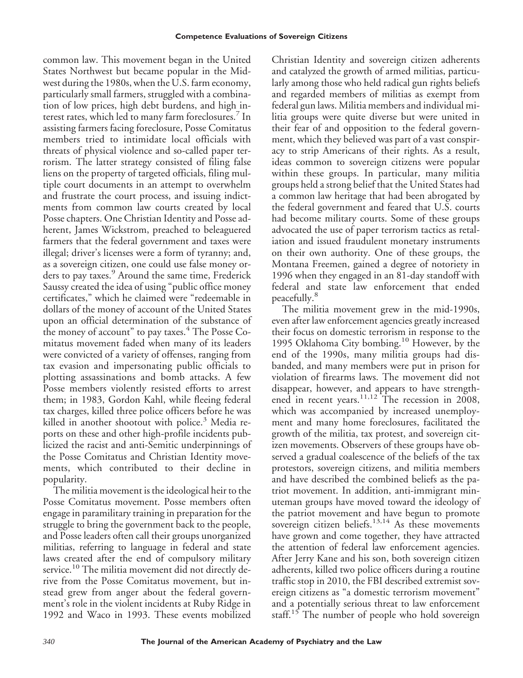common law. This movement began in the United States Northwest but became popular in the Midwest during the 1980s, when the U.S. farm economy, particularly small farmers, struggled with a combination of low prices, high debt burdens, and high interest rates, which led to many farm foreclosures.<sup>7</sup> In assisting farmers facing foreclosure, Posse Comitatus members tried to intimidate local officials with threats of physical violence and so-called paper terrorism. The latter strategy consisted of filing false liens on the property of targeted officials, filing multiple court documents in an attempt to overwhelm and frustrate the court process, and issuing indictments from common law courts created by local Posse chapters. One Christian Identity and Posse adherent, James Wickstrom, preached to beleaguered farmers that the federal government and taxes were illegal; driver's licenses were a form of tyranny; and, as a sovereign citizen, one could use false money orders to pay taxes.<sup>9</sup> Around the same time, Frederick Saussy created the idea of using "public office money certificates," which he claimed were "redeemable in dollars of the money of account of the United States upon an official determination of the substance of the money of account" to pay taxes.<sup>4</sup> The Posse Comitatus movement faded when many of its leaders were convicted of a variety of offenses, ranging from tax evasion and impersonating public officials to plotting assassinations and bomb attacks. A few Posse members violently resisted efforts to arrest them; in 1983, Gordon Kahl, while fleeing federal tax charges, killed three police officers before he was killed in another shootout with police.<sup>3</sup> Media reports on these and other high-profile incidents publicized the racist and anti-Semitic underpinnings of the Posse Comitatus and Christian Identity movements, which contributed to their decline in popularity.

The militia movement is the ideological heir to the Posse Comitatus movement. Posse members often engage in paramilitary training in preparation for the struggle to bring the government back to the people, and Posse leaders often call their groups unorganized militias, referring to language in federal and state laws created after the end of compulsory military service.<sup>10</sup> The militia movement did not directly derive from the Posse Comitatus movement, but instead grew from anger about the federal government's role in the violent incidents at Ruby Ridge in 1992 and Waco in 1993. These events mobilized

Christian Identity and sovereign citizen adherents and catalyzed the growth of armed militias, particularly among those who held radical gun rights beliefs and regarded members of militias as exempt from federal gun laws. Militia members and individual militia groups were quite diverse but were united in their fear of and opposition to the federal government, which they believed was part of a vast conspiracy to strip Americans of their rights. As a result, ideas common to sovereign citizens were popular within these groups. In particular, many militia groups held a strong belief that the United States had a common law heritage that had been abrogated by the federal government and feared that U.S. courts had become military courts. Some of these groups advocated the use of paper terrorism tactics as retaliation and issued fraudulent monetary instruments on their own authority. One of these groups, the Montana Freemen, gained a degree of notoriety in 1996 when they engaged in an 81-day standoff with federal and state law enforcement that ended peacefully.<sup>8</sup>

The militia movement grew in the mid-1990s, even after law enforcement agencies greatly increased their focus on domestic terrorism in response to the 1995 Oklahoma City bombing.<sup>10</sup> However, by the end of the 1990s, many militia groups had disbanded, and many members were put in prison for violation of firearms laws. The movement did not disappear, however, and appears to have strengthened in recent years.<sup>11,12</sup> The recession in 2008, which was accompanied by increased unemployment and many home foreclosures, facilitated the growth of the militia, tax protest, and sovereign citizen movements. Observers of these groups have observed a gradual coalescence of the beliefs of the tax protestors, sovereign citizens, and militia members and have described the combined beliefs as the patriot movement. In addition, anti-immigrant minuteman groups have moved toward the ideology of the patriot movement and have begun to promote sovereign citizen beliefs.<sup>13,14</sup> As these movements have grown and come together, they have attracted the attention of federal law enforcement agencies. After Jerry Kane and his son, both sovereign citizen adherents, killed two police officers during a routine traffic stop in 2010, the FBI described extremist sovereign citizens as "a domestic terrorism movement" and a potentially serious threat to law enforcement staff.<sup>15</sup> The number of people who hold sovereign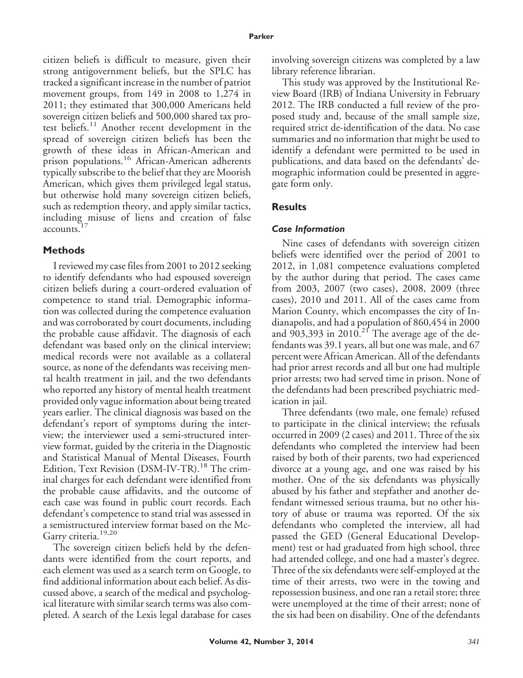citizen beliefs is difficult to measure, given their strong antigovernment beliefs, but the SPLC has tracked a significant increase in the number of patriot movement groups, from 149 in 2008 to 1,274 in 2011; they estimated that 300,000 Americans held sovereign citizen beliefs and 500,000 shared tax protest beliefs.<sup>11</sup> Another recent development in the spread of sovereign citizen beliefs has been the growth of these ideas in African-American and prison populations.<sup>16</sup> African-American adherents typically subscribe to the belief that they are Moorish American, which gives them privileged legal status, but otherwise hold many sovereign citizen beliefs, such as redemption theory, and apply similar tactics, including misuse of liens and creation of false accounts.<sup>17</sup>

#### **Methods**

I reviewed my case files from 2001 to 2012 seeking to identify defendants who had espoused sovereign citizen beliefs during a court-ordered evaluation of competence to stand trial. Demographic information was collected during the competence evaluation and was corroborated by court documents, including the probable cause affidavit. The diagnosis of each defendant was based only on the clinical interview; medical records were not available as a collateral source, as none of the defendants was receiving mental health treatment in jail, and the two defendants who reported any history of mental health treatment provided only vague information about being treated years earlier. The clinical diagnosis was based on the defendant's report of symptoms during the interview; the interviewer used a semi-structured interview format, guided by the criteria in the Diagnostic and Statistical Manual of Mental Diseases, Fourth Edition, Text Revision (DSM-IV-TR).<sup>18</sup> The criminal charges for each defendant were identified from the probable cause affidavits, and the outcome of each case was found in public court records. Each defendant's competence to stand trial was assessed in a semistructured interview format based on the Mc-Garry criteria.<sup>19,20</sup>

The sovereign citizen beliefs held by the defendants were identified from the court reports, and each element was used as a search term on Google, to find additional information about each belief. As discussed above, a search of the medical and psychological literature with similar search terms was also completed. A search of the Lexis legal database for cases involving sovereign citizens was completed by a law library reference librarian.

This study was approved by the Institutional Review Board (IRB) of Indiana University in February 2012. The IRB conducted a full review of the proposed study and, because of the small sample size, required strict de-identification of the data. No case summaries and no information that might be used to identify a defendant were permitted to be used in publications, and data based on the defendants' demographic information could be presented in aggregate form only.

# **Results**

# *Case Information*

Nine cases of defendants with sovereign citizen beliefs were identified over the period of 2001 to 2012, in 1,081 competence evaluations completed by the author during that period. The cases came from 2003, 2007 (two cases), 2008, 2009 (three cases), 2010 and 2011. All of the cases came from Marion County, which encompasses the city of Indianapolis, and had a population of 860,454 in 2000 and  $903,393$  in 2010.<sup>21</sup> The average age of the defendants was 39.1 years, all but one was male, and 67 percent were African American. All of the defendants had prior arrest records and all but one had multiple prior arrests; two had served time in prison. None of the defendants had been prescribed psychiatric medication in jail.

Three defendants (two male, one female) refused to participate in the clinical interview; the refusals occurred in 2009 (2 cases) and 2011. Three of the six defendants who completed the interview had been raised by both of their parents, two had experienced divorce at a young age, and one was raised by his mother. One of the six defendants was physically abused by his father and stepfather and another defendant witnessed serious trauma, but no other history of abuse or trauma was reported. Of the six defendants who completed the interview, all had passed the GED (General Educational Development) test or had graduated from high school, three had attended college, and one had a master's degree. Three of the six defendants were self-employed at the time of their arrests, two were in the towing and repossession business, and one ran a retail store; three were unemployed at the time of their arrest; none of the six had been on disability. One of the defendants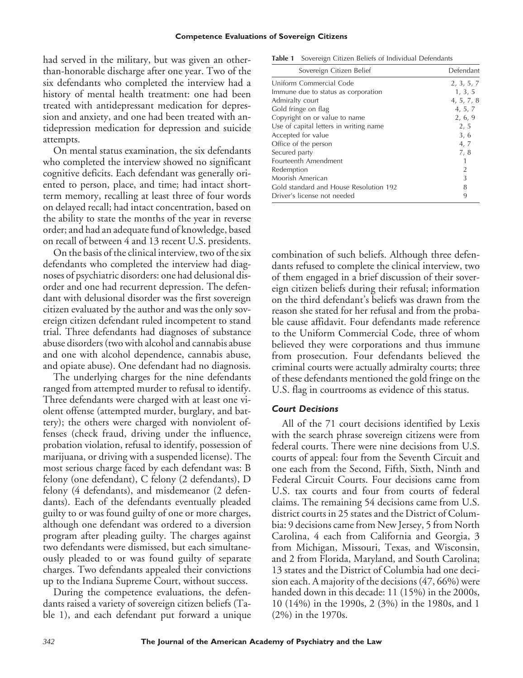had served in the military, but was given an otherthan-honorable discharge after one year. Two of the six defendants who completed the interview had a history of mental health treatment: one had been treated with antidepressant medication for depression and anxiety, and one had been treated with antidepression medication for depression and suicide attempts.

On mental status examination, the six defendants who completed the interview showed no significant cognitive deficits. Each defendant was generally oriented to person, place, and time; had intact shortterm memory, recalling at least three of four words on delayed recall; had intact concentration, based on the ability to state the months of the year in reverse order; and had an adequate fund of knowledge, based on recall of between 4 and 13 recent U.S. presidents.

On the basis of the clinical interview, two of the six defendants who completed the interview had diagnoses of psychiatric disorders: one had delusional disorder and one had recurrent depression. The defendant with delusional disorder was the first sovereign citizen evaluated by the author and was the only sovereign citizen defendant ruled incompetent to stand trial. Three defendants had diagnoses of substance abuse disorders (two with alcohol and cannabis abuse and one with alcohol dependence, cannabis abuse, and opiate abuse). One defendant had no diagnosis.

The underlying charges for the nine defendants ranged from attempted murder to refusal to identify. Three defendants were charged with at least one violent offense (attempted murder, burglary, and battery); the others were charged with nonviolent offenses (check fraud, driving under the influence, probation violation, refusal to identify, possession of marijuana, or driving with a suspended license). The most serious charge faced by each defendant was: B felony (one defendant), C felony (2 defendants), D felony (4 defendants), and misdemeanor (2 defendants). Each of the defendants eventually pleaded guilty to or was found guilty of one or more charges, although one defendant was ordered to a diversion program after pleading guilty. The charges against two defendants were dismissed, but each simultaneously pleaded to or was found guilty of separate charges. Two defendants appealed their convictions up to the Indiana Supreme Court, without success.

During the competence evaluations, the defendants raised a variety of sovereign citizen beliefs (Table 1), and each defendant put forward a unique

| Table 1 Sovereign Citizen Beliefs of Individual Defendants |  |  |  |  |  |  |  |
|------------------------------------------------------------|--|--|--|--|--|--|--|
|------------------------------------------------------------|--|--|--|--|--|--|--|

| Sovereign Citizen Belief               | Defendant  |
|----------------------------------------|------------|
| Uniform Commercial Code                | 2, 3, 5, 7 |
| Immune due to status as corporation    | 1, 3, 5    |
| Admiralty court                        | 4, 5, 7, 8 |
| Gold fringe on flag                    | 4, 5, 7    |
| Copyright on or value to name          | 2, 6, 9    |
| Use of capital letters in writing name | 2, 5       |
| Accepted for value                     | 3, 6       |
| Office of the person                   | 4, 7       |
| Secured party                          | 7,8        |
| Fourteenth Amendment                   |            |
| Redemption                             | 2          |
| Moorish American                       | 3          |
| Gold standard and House Resolution 192 | 8          |
| Driver's license not needed            | 9          |

combination of such beliefs. Although three defendants refused to complete the clinical interview, two of them engaged in a brief discussion of their sovereign citizen beliefs during their refusal; information on the third defendant's beliefs was drawn from the reason she stated for her refusal and from the probable cause affidavit. Four defendants made reference to the Uniform Commercial Code, three of whom believed they were corporations and thus immune from prosecution. Four defendants believed the criminal courts were actually admiralty courts; three of these defendants mentioned the gold fringe on the U.S. flag in courtrooms as evidence of this status.

#### *Court Decisions*

All of the 71 court decisions identified by Lexis with the search phrase sovereign citizens were from federal courts. There were nine decisions from U.S. courts of appeal: four from the Seventh Circuit and one each from the Second, Fifth, Sixth, Ninth and Federal Circuit Courts. Four decisions came from U.S. tax courts and four from courts of federal claims. The remaining 54 decisions came from U.S. district courts in 25 states and the District of Columbia: 9 decisions came from New Jersey, 5 from North Carolina, 4 each from California and Georgia, 3 from Michigan, Missouri, Texas, and Wisconsin, and 2 from Florida, Maryland, and South Carolina; 13 states and the District of Columbia had one decision each. A majority of the decisions (47, 66%) were handed down in this decade: 11 (15%) in the 2000s, 10 (14%) in the 1990s, 2 (3%) in the 1980s, and 1 (2%) in the 1970s.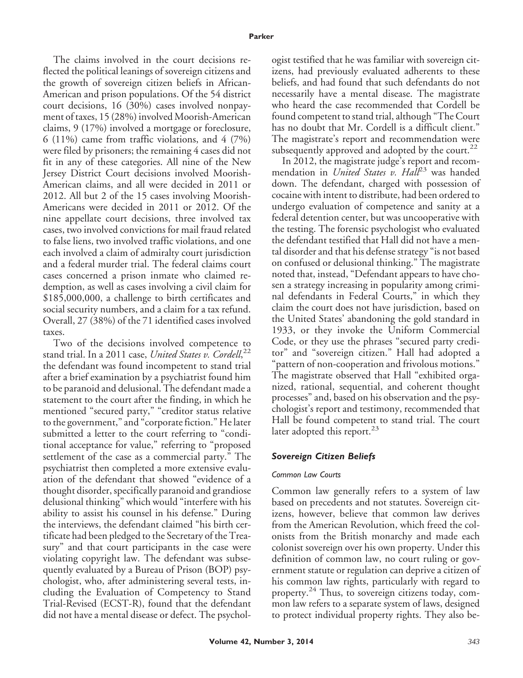The claims involved in the court decisions reflected the political leanings of sovereign citizens and the growth of sovereign citizen beliefs in African-American and prison populations. Of the 54 district court decisions, 16 (30%) cases involved nonpayment of taxes, 15 (28%) involved Moorish-American claims, 9 (17%) involved a mortgage or foreclosure, 6 (11%) came from traffic violations, and  $4$  (7%) were filed by prisoners; the remaining 4 cases did not fit in any of these categories. All nine of the New Jersey District Court decisions involved Moorish-American claims, and all were decided in 2011 or 2012. All but 2 of the 15 cases involving Moorish-Americans were decided in 2011 or 2012. Of the nine appellate court decisions, three involved tax cases, two involved convictions for mail fraud related to false liens, two involved traffic violations, and one each involved a claim of admiralty court jurisdiction and a federal murder trial. The federal claims court cases concerned a prison inmate who claimed redemption, as well as cases involving a civil claim for \$185,000,000, a challenge to birth certificates and social security numbers, and a claim for a tax refund. Overall, 27 (38%) of the 71 identified cases involved taxes.

Two of the decisions involved competence to stand trial. In a 2011 case, *United States v. Cordell*, 22 the defendant was found incompetent to stand trial after a brief examination by a psychiatrist found him to be paranoid and delusional. The defendant made a statement to the court after the finding, in which he mentioned "secured party," "creditor status relative to the government," and "corporate fiction." He later submitted a letter to the court referring to "conditional acceptance for value," referring to "proposed settlement of the case as a commercial party." The psychiatrist then completed a more extensive evaluation of the defendant that showed "evidence of a thought disorder, specifically paranoid and grandiose delusional thinking" which would "interfere with his ability to assist his counsel in his defense." During the interviews, the defendant claimed "his birth certificate had been pledged to the Secretary of the Treasury" and that court participants in the case were violating copyright law. The defendant was subsequently evaluated by a Bureau of Prison (BOP) psychologist, who, after administering several tests, including the Evaluation of Competency to Stand Trial-Revised (ECST-R), found that the defendant did not have a mental disease or defect. The psychologist testified that he was familiar with sovereign citizens, had previously evaluated adherents to these beliefs, and had found that such defendants do not necessarily have a mental disease. The magistrate who heard the case recommended that Cordell be found competent to stand trial, although "The Court has no doubt that Mr. Cordell is a difficult client." The magistrate's report and recommendation were subsequently approved and adopted by the court.<sup>22</sup>

In 2012, the magistrate judge's report and recommendation in *United States v. Hall<sup>23</sup>* was handed down. The defendant, charged with possession of cocaine with intent to distribute, had been ordered to undergo evaluation of competence and sanity at a federal detention center, but was uncooperative with the testing. The forensic psychologist who evaluated the defendant testified that Hall did not have a mental disorder and that his defense strategy "is not based on confused or delusional thinking." The magistrate noted that, instead, "Defendant appears to have chosen a strategy increasing in popularity among criminal defendants in Federal Courts," in which they claim the court does not have jurisdiction, based on the United States' abandoning the gold standard in 1933, or they invoke the Uniform Commercial Code, or they use the phrases "secured party creditor" and "sovereign citizen." Hall had adopted a "pattern of non-cooperation and frivolous motions." The magistrate observed that Hall "exhibited organized, rational, sequential, and coherent thought processes" and, based on his observation and the psychologist's report and testimony, recommended that Hall be found competent to stand trial. The court later adopted this report. $^{23}$ 

#### *Sovereign Citizen Beliefs*

#### *Common Law Courts*

Common law generally refers to a system of law based on precedents and not statutes. Sovereign citizens, however, believe that common law derives from the American Revolution, which freed the colonists from the British monarchy and made each colonist sovereign over his own property. Under this definition of common law, no court ruling or government statute or regulation can deprive a citizen of his common law rights, particularly with regard to property.<sup>24</sup> Thus, to sovereign citizens today, common law refers to a separate system of laws, designed to protect individual property rights. They also be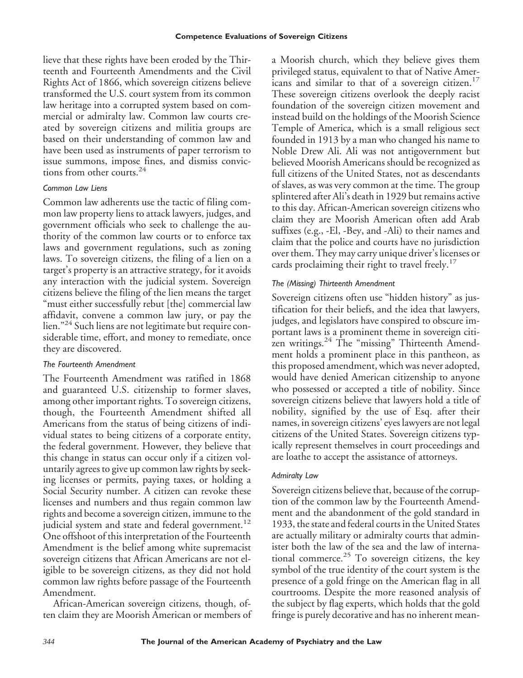lieve that these rights have been eroded by the Thirteenth and Fourteenth Amendments and the Civil Rights Act of 1866, which sovereign citizens believe transformed the U.S. court system from its common law heritage into a corrupted system based on commercial or admiralty law. Common law courts created by sovereign citizens and militia groups are based on their understanding of common law and have been used as instruments of paper terrorism to issue summons, impose fines, and dismiss convictions from other courts.<sup>24</sup>

#### *Common Law Liens*

Common law adherents use the tactic of filing common law property liens to attack lawyers, judges, and government officials who seek to challenge the authority of the common law courts or to enforce tax laws and government regulations, such as zoning laws. To sovereign citizens, the filing of a lien on a target's property is an attractive strategy, for it avoids any interaction with the judicial system. Sovereign citizens believe the filing of the lien means the target "must either successfully rebut [the] commercial law affidavit, convene a common law jury, or pay the lien."<sup>24</sup> Such liens are not legitimate but require considerable time, effort, and money to remediate, once they are discovered.

#### *The Fourteenth Amendment*

The Fourteenth Amendment was ratified in 1868 and guaranteed U.S. citizenship to former slaves, among other important rights. To sovereign citizens, though, the Fourteenth Amendment shifted all Americans from the status of being citizens of individual states to being citizens of a corporate entity, the federal government. However, they believe that this change in status can occur only if a citizen voluntarily agrees to give up common law rights by seeking licenses or permits, paying taxes, or holding a Social Security number. A citizen can revoke these licenses and numbers and thus regain common law rights and become a sovereign citizen, immune to the judicial system and state and federal government.<sup>12</sup> One offshoot of this interpretation of the Fourteenth Amendment is the belief among white supremacist sovereign citizens that African Americans are not eligible to be sovereign citizens, as they did not hold common law rights before passage of the Fourteenth Amendment.

African-American sovereign citizens, though, often claim they are Moorish American or members of a Moorish church, which they believe gives them privileged status, equivalent to that of Native Americans and similar to that of a sovereign citizen.<sup>17</sup> These sovereign citizens overlook the deeply racist foundation of the sovereign citizen movement and instead build on the holdings of the Moorish Science Temple of America, which is a small religious sect founded in 1913 by a man who changed his name to Noble Drew Ali. Ali was not antigovernment but believed Moorish Americans should be recognized as full citizens of the United States, not as descendants of slaves, as was very common at the time. The group splintered after Ali's death in 1929 but remains active to this day. African-American sovereign citizens who claim they are Moorish American often add Arab suffixes (e.g., -El, -Bey, and -Ali) to their names and claim that the police and courts have no jurisdiction over them. They may carry unique driver's licenses or cards proclaiming their right to travel freely.<sup>17</sup>

# *The (Missing) Thirteenth Amendment*

Sovereign citizens often use "hidden history" as justification for their beliefs, and the idea that lawyers, judges, and legislators have conspired to obscure important laws is a prominent theme in sovereign citizen writings.<sup>24</sup> The "missing" Thirteenth Amendment holds a prominent place in this pantheon, as this proposed amendment, which was never adopted, would have denied American citizenship to anyone who possessed or accepted a title of nobility. Since sovereign citizens believe that lawyers hold a title of nobility, signified by the use of Esq. after their names, in sovereign citizens' eyes lawyers are not legal citizens of the United States. Sovereign citizens typically represent themselves in court proceedings and are loathe to accept the assistance of attorneys.

#### *Admiralty Law*

Sovereign citizens believe that, because of the corruption of the common law by the Fourteenth Amendment and the abandonment of the gold standard in 1933, the state and federal courts in the United States are actually military or admiralty courts that administer both the law of the sea and the law of international commerce.<sup>25</sup> To sovereign citizens, the key symbol of the true identity of the court system is the presence of a gold fringe on the American flag in all courtrooms. Despite the more reasoned analysis of the subject by flag experts, which holds that the gold fringe is purely decorative and has no inherent mean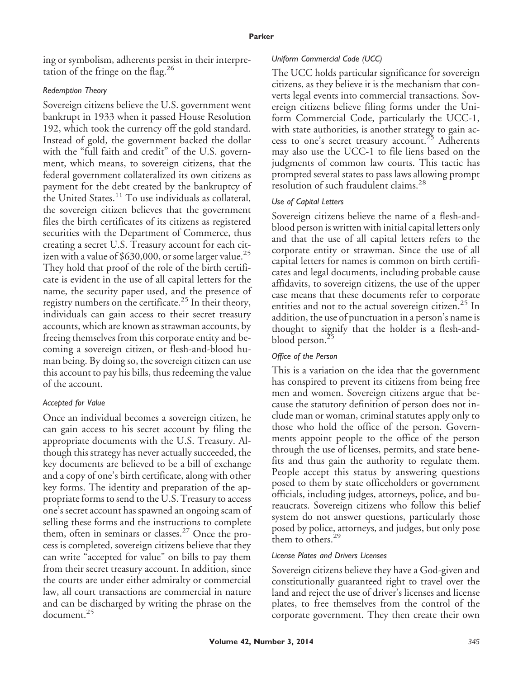ing or symbolism, adherents persist in their interpretation of the fringe on the flag.<sup>26</sup>

# *Redemption Theory*

Sovereign citizens believe the U.S. government went bankrupt in 1933 when it passed House Resolution 192, which took the currency off the gold standard. Instead of gold, the government backed the dollar with the "full faith and credit" of the U.S. government, which means, to sovereign citizens, that the federal government collateralized its own citizens as payment for the debt created by the bankruptcy of the United States.<sup>11</sup> To use individuals as collateral, the sovereign citizen believes that the government files the birth certificates of its citizens as registered securities with the Department of Commerce, thus creating a secret U.S. Treasury account for each citizen with a value of \$630,000, or some larger value.<sup>25</sup> They hold that proof of the role of the birth certificate is evident in the use of all capital letters for the name, the security paper used, and the presence of registry numbers on the certificate.<sup>25</sup> In their theory, individuals can gain access to their secret treasury accounts, which are known as strawman accounts, by freeing themselves from this corporate entity and becoming a sovereign citizen, or flesh-and-blood human being. By doing so, the sovereign citizen can use this account to pay his bills, thus redeeming the value of the account.

# *Accepted for Value*

Once an individual becomes a sovereign citizen, he can gain access to his secret account by filing the appropriate documents with the U.S. Treasury. Although this strategy has never actually succeeded, the key documents are believed to be a bill of exchange and a copy of one's birth certificate, along with other key forms. The identity and preparation of the appropriate forms to send to the U.S. Treasury to access one's secret account has spawned an ongoing scam of selling these forms and the instructions to complete them, often in seminars or classes.<sup>27</sup> Once the process is completed, sovereign citizens believe that they can write "accepted for value" on bills to pay them from their secret treasury account. In addition, since the courts are under either admiralty or commercial law, all court transactions are commercial in nature and can be discharged by writing the phrase on the document.<sup>25</sup>

# *Uniform Commercial Code (UCC)*

The UCC holds particular significance for sovereign citizens, as they believe it is the mechanism that converts legal events into commercial transactions. Sovereign citizens believe filing forms under the Uniform Commercial Code, particularly the UCC-1, with state authorities, is another strategy to gain access to one's secret treasury account.<sup>25</sup> Adherents may also use the UCC-1 to file liens based on the judgments of common law courts. This tactic has prompted several states to pass laws allowing prompt resolution of such fraudulent claims.<sup>28</sup>

# *Use of Capital Letters*

Sovereign citizens believe the name of a flesh-andblood person is written with initial capital letters only and that the use of all capital letters refers to the corporate entity or strawman. Since the use of all capital letters for names is common on birth certificates and legal documents, including probable cause affidavits, to sovereign citizens, the use of the upper case means that these documents refer to corporate entities and not to the actual sovereign citizen.<sup>25</sup> In addition, the use of punctuation in a person's name is thought to signify that the holder is a flesh-andblood person.<sup>25</sup>

# *Office of the Person*

This is a variation on the idea that the government has conspired to prevent its citizens from being free men and women. Sovereign citizens argue that because the statutory definition of person does not include man or woman, criminal statutes apply only to those who hold the office of the person. Governments appoint people to the office of the person through the use of licenses, permits, and state benefits and thus gain the authority to regulate them. People accept this status by answering questions posed to them by state officeholders or government officials, including judges, attorneys, police, and bureaucrats. Sovereign citizens who follow this belief system do not answer questions, particularly those posed by police, attorneys, and judges, but only pose them to others.<sup>29</sup>

#### *License Plates and Drivers Licenses*

Sovereign citizens believe they have a God-given and constitutionally guaranteed right to travel over the land and reject the use of driver's licenses and license plates, to free themselves from the control of the corporate government. They then create their own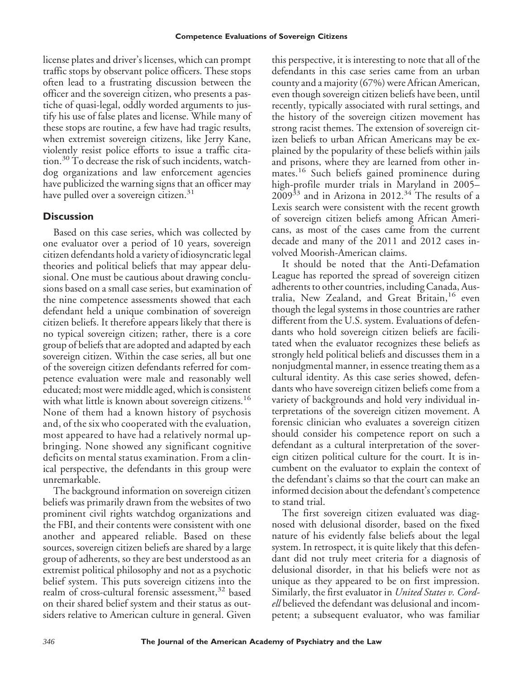license plates and driver's licenses, which can prompt traffic stops by observant police officers. These stops often lead to a frustrating discussion between the officer and the sovereign citizen, who presents a pastiche of quasi-legal, oddly worded arguments to justify his use of false plates and license. While many of these stops are routine, a few have had tragic results, when extremist sovereign citizens, like Jerry Kane, violently resist police efforts to issue a traffic citation.<sup>30</sup> To decrease the risk of such incidents, watchdog organizations and law enforcement agencies have publicized the warning signs that an officer may have pulled over a sovereign citizen.<sup>31</sup>

# **Discussion**

Based on this case series, which was collected by one evaluator over a period of 10 years, sovereign citizen defendants hold a variety of idiosyncratic legal theories and political beliefs that may appear delusional. One must be cautious about drawing conclusions based on a small case series, but examination of the nine competence assessments showed that each defendant held a unique combination of sovereign citizen beliefs. It therefore appears likely that there is no typical sovereign citizen; rather, there is a core group of beliefs that are adopted and adapted by each sovereign citizen. Within the case series, all but one of the sovereign citizen defendants referred for competence evaluation were male and reasonably well educated; most were middle aged, which is consistent with what little is known about sovereign citizens.<sup>16</sup> None of them had a known history of psychosis and, of the six who cooperated with the evaluation, most appeared to have had a relatively normal upbringing. None showed any significant cognitive deficits on mental status examination. From a clinical perspective, the defendants in this group were unremarkable.

The background information on sovereign citizen beliefs was primarily drawn from the websites of two prominent civil rights watchdog organizations and the FBI, and their contents were consistent with one another and appeared reliable. Based on these sources, sovereign citizen beliefs are shared by a large group of adherents, so they are best understood as an extremist political philosophy and not as a psychotic belief system. This puts sovereign citizens into the realm of cross-cultural forensic assessment,<sup>32</sup> based on their shared belief system and their status as outsiders relative to American culture in general. Given

this perspective, it is interesting to note that all of the defendants in this case series came from an urban county and a majority (67%) were African American, even though sovereign citizen beliefs have been, until recently, typically associated with rural settings, and the history of the sovereign citizen movement has strong racist themes. The extension of sovereign citizen beliefs to urban African Americans may be explained by the popularity of these beliefs within jails and prisons, where they are learned from other inmates.<sup>16</sup> Such beliefs gained prominence during high-profile murder trials in Maryland in 2005–  $2009^{33}$  and in Arizona in 2012.<sup>34</sup> The results of a Lexis search were consistent with the recent growth of sovereign citizen beliefs among African Americans, as most of the cases came from the current decade and many of the 2011 and 2012 cases involved Moorish-American claims.

It should be noted that the Anti-Defamation League has reported the spread of sovereign citizen adherents to other countries, including Canada, Australia, New Zealand, and Great Britain,<sup>16</sup> even though the legal systems in those countries are rather different from the U.S. system. Evaluations of defendants who hold sovereign citizen beliefs are facilitated when the evaluator recognizes these beliefs as strongly held political beliefs and discusses them in a nonjudgmental manner, in essence treating them as a cultural identity. As this case series showed, defendants who have sovereign citizen beliefs come from a variety of backgrounds and hold very individual interpretations of the sovereign citizen movement. A forensic clinician who evaluates a sovereign citizen should consider his competence report on such a defendant as a cultural interpretation of the sovereign citizen political culture for the court. It is incumbent on the evaluator to explain the context of the defendant's claims so that the court can make an informed decision about the defendant's competence to stand trial.

The first sovereign citizen evaluated was diagnosed with delusional disorder, based on the fixed nature of his evidently false beliefs about the legal system. In retrospect, it is quite likely that this defendant did not truly meet criteria for a diagnosis of delusional disorder, in that his beliefs were not as unique as they appeared to be on first impression. Similarly, the first evaluator in *United States v. Cordell* believed the defendant was delusional and incompetent; a subsequent evaluator, who was familiar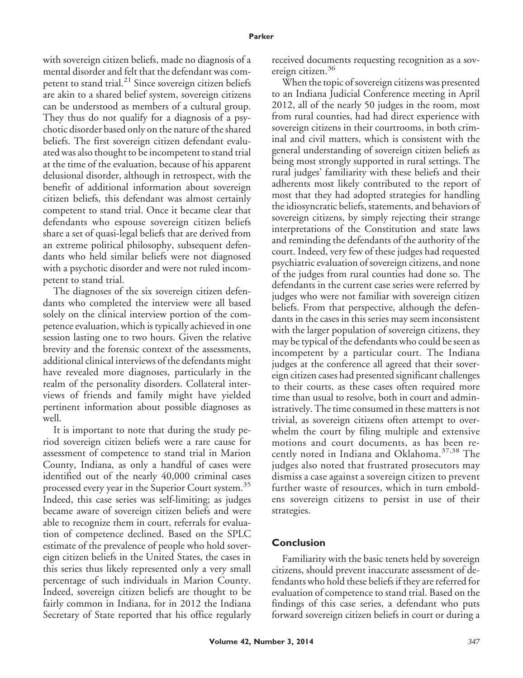with sovereign citizen beliefs, made no diagnosis of a mental disorder and felt that the defendant was competent to stand trial.<sup>21</sup> Since sovereign citizen beliefs are akin to a shared belief system, sovereign citizens can be understood as members of a cultural group. They thus do not qualify for a diagnosis of a psychotic disorder based only on the nature of the shared beliefs. The first sovereign citizen defendant evaluated was also thought to be incompetent to stand trial at the time of the evaluation, because of his apparent delusional disorder, although in retrospect, with the benefit of additional information about sovereign citizen beliefs, this defendant was almost certainly competent to stand trial. Once it became clear that defendants who espouse sovereign citizen beliefs share a set of quasi-legal beliefs that are derived from an extreme political philosophy, subsequent defendants who held similar beliefs were not diagnosed with a psychotic disorder and were not ruled incompetent to stand trial.

The diagnoses of the six sovereign citizen defendants who completed the interview were all based solely on the clinical interview portion of the competence evaluation, which is typically achieved in one session lasting one to two hours. Given the relative brevity and the forensic context of the assessments, additional clinical interviews of the defendants might have revealed more diagnoses, particularly in the realm of the personality disorders. Collateral interviews of friends and family might have yielded pertinent information about possible diagnoses as well.

It is important to note that during the study period sovereign citizen beliefs were a rare cause for assessment of competence to stand trial in Marion County, Indiana, as only a handful of cases were identified out of the nearly 40,000 criminal cases processed every year in the Superior Court system.<sup>35</sup> Indeed, this case series was self-limiting; as judges became aware of sovereign citizen beliefs and were able to recognize them in court, referrals for evaluation of competence declined. Based on the SPLC estimate of the prevalence of people who hold sovereign citizen beliefs in the United States, the cases in this series thus likely represented only a very small percentage of such individuals in Marion County. Indeed, sovereign citizen beliefs are thought to be fairly common in Indiana, for in 2012 the Indiana Secretary of State reported that his office regularly received documents requesting recognition as a sovereign citizen.<sup>36</sup>

When the topic of sovereign citizens was presented to an Indiana Judicial Conference meeting in April 2012, all of the nearly 50 judges in the room, most from rural counties, had had direct experience with sovereign citizens in their courtrooms, in both criminal and civil matters, which is consistent with the general understanding of sovereign citizen beliefs as being most strongly supported in rural settings. The rural judges' familiarity with these beliefs and their adherents most likely contributed to the report of most that they had adopted strategies for handling the idiosyncratic beliefs, statements, and behaviors of sovereign citizens, by simply rejecting their strange interpretations of the Constitution and state laws and reminding the defendants of the authority of the court. Indeed, very few of these judges had requested psychiatric evaluation of sovereign citizens, and none of the judges from rural counties had done so. The defendants in the current case series were referred by judges who were not familiar with sovereign citizen beliefs. From that perspective, although the defendants in the cases in this series may seem inconsistent with the larger population of sovereign citizens, they may be typical of the defendants who could be seen as incompetent by a particular court. The Indiana judges at the conference all agreed that their sovereign citizen cases had presented significant challenges to their courts, as these cases often required more time than usual to resolve, both in court and administratively. The time consumed in these matters is not trivial, as sovereign citizens often attempt to overwhelm the court by filing multiple and extensive motions and court documents, as has been recently noted in Indiana and Oklahoma.<sup>37,38</sup> The judges also noted that frustrated prosecutors may dismiss a case against a sovereign citizen to prevent further waste of resources, which in turn emboldens sovereign citizens to persist in use of their strategies.

# **Conclusion**

Familiarity with the basic tenets held by sovereign citizens, should prevent inaccurate assessment of defendants who hold these beliefs if they are referred for evaluation of competence to stand trial. Based on the findings of this case series, a defendant who puts forward sovereign citizen beliefs in court or during a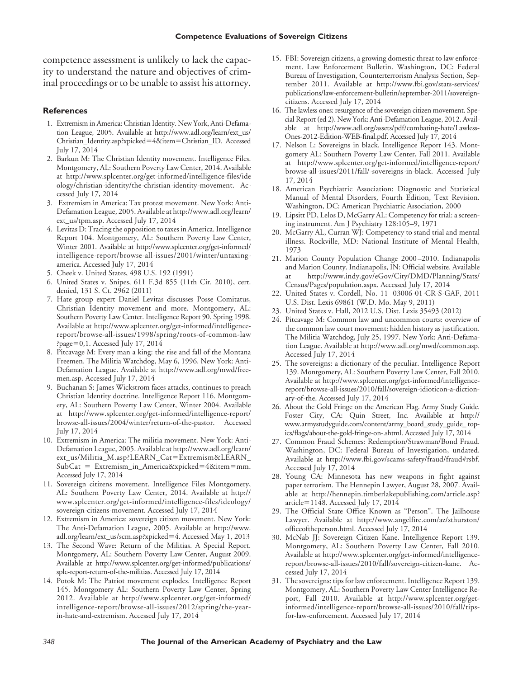competence assessment is unlikely to lack the capacity to understand the nature and objectives of criminal proceedings or to be unable to assist his attorney.

#### **References**

- 1. Extremism in America: Christian Identity. New York, Anti-Defamation League, 2005. Available at http://www.adl.org/learn/ext\_us/ Christian\_Identity.asp?xpicked-4&item-Christian\_ID. Accessed July 17, 2014
- 2. Barkun M: The Christian Identity movement. Intelligence Files. Montgomery, AL: Southern Poverty Law Center, 2014. Available at http://www.splcenter.org/get-informed/intelligence-files/ide ology/christian-identity/the-christian-identity-movement. Accessed July 17, 2014
- 3. Extremism in America: Tax protest movement. New York: Anti-Defamation League, 2005. Available at http://www.adl.org/learn/ ext\_us/tpm.asp. Accessed July 17, 2014
- 4. Levitas D: Tracing the opposition to taxes in America. Intelligence Report 104. Montgomery, AL: Southern Poverty Law Center, Winter 2001. Available at http://www.splcenter.org/get-informed/ intelligence-report/browse-all-issues/2001/winter/untaxingamerica. Accessed July 17, 2014
- 5. Cheek v. United States, 498 U.S. 192 (1991)
- 6. United States v. Snipes, 611 F.3d 855 (11th Cir. 2010), cert. denied, 131 S. Ct. 2962 (2011)
- 7. Hate group expert Daniel Levitas discusses Posse Comitatus, Christian Identity movement and more. Montgomery, AL: Southern Poverty Law Center. Intelligence Report 90. Spring 1998. Available at http://www.splcenter.org/get-informed/intelligencereport/browse-all-issues/1998/spring/roots-of-common-law ?page-0,1. Accessed July 17, 2014
- 8. Pitcavage M: Every man a king: the rise and fall of the Montana Freemen. The Militia Watchdog, May 6, 1996. New York: Anti-Defamation League. Available at http://www.adl.org/mwd/freemen.asp. Accessed July 17, 2014
- 9. Buchanan S: James Wickstrom faces attacks, continues to preach Christian Identity doctrine. Intelligence Report 116. Montgomery, AL: Southern Poverty Law Center, Winter 2004. Available at http://www.splcenter.org/get-informed/intelligence-report/ browse-all-issues/2004/winter/return-of-the-pastor. Accessed July 17, 2014
- 10. Extremism in America: The militia movement. New York: Anti-Defamation League, 2005. Available at http://www.adl.org/learn/ ext\_us/Militia\_M.asp?LEARN\_Cat=Extremism&LEARN\_ SubCat = Extremism\_in\_America&xpicked=4&item=mm. Accessed July 17, 2014
- 11. Sovereign citizens movement. Intelligence Files Montgomery, AL: Southern Poverty Law Center, 2014. Available at http:// www.splcenter.org/get-informed/intelligence-files/ideology/ sovereign-citizens-movement. Accessed July 17, 2014
- 12. Extremism in America: sovereign citizen movement. New York: The Anti-Defamation League, 2005. Available at http://www. adl.org/learn/ext\_us/scm.asp?xpicked-4. Accessed May 1, 2013
- 13. The Second Wave: Return of the Militias. A Special Report. Montgomery, AL: Southern Poverty Law Center, August 2009. Available at http://www.splcenter.org/get-informed/publications/ splc-report-return-of-the-militias. Accessed July 17, 2014
- 14. Potok M: The Patriot movement explodes. Intelligence Report 145. Montgomery AL: Southern Poverty Law Center, Spring 2012. Available at http://www.splcenter.org/get-informed/ intelligence-report/browse-all-issues/2012/spring/the-yearin-hate-and-extremism. Accessed July 17, 2014
- 15. FBI: Sovereign citizens, a growing domestic threat to law enforcement. Law Enforcement Bulletin. Washington, DC: Federal Bureau of Investigation, Counterterrorism Analysis Section, September 2011. Available at http://www.fbi.gov/stats-services/ publications/law-enforcement-bulletin/september-2011/sovereigncitizens. Accessed July 17, 2014
- 16. The lawless ones: resurgence of the sovereign citizen movement. Special Report (ed 2). New York: Anti-Defamation League, 2012. Available at http://www.adl.org/assets/pdf/combating-hate/Lawless-Ones-2012-Edition-WEB-final.pdf. Accessed July 17, 2014
- 17. Nelson L: Sovereigns in black. Intelligence Report 143. Montgomery AL: Southern Poverty Law Center, Fall 2011. Available at http://www.splcenter.org/get-informed/intelligence-report/ browse-all-issues/2011/fall/-sovereigns-in-black. Accessed July 17, 2014
- 18. American Psychiatric Association: Diagnostic and Statistical Manual of Mental Disorders, Fourth Edition, Text Revision. Washington, DC: American Psychiatric Association, 2000
- 19. Lipsitt PD, Lelos D, McGarry AL: Competency for trial: a screening instrument. Am J Psychiatry 128:105–9, 1971
- 20. McGarry AL, Curran WJ: Competency to stand trial and mental illness. Rockville, MD: National Institute of Mental Health, 1973
- 21. Marion County Population Change 2000 –2010. Indianapolis and Marion County. Indianapolis, IN: Official website. Available at http://www.indy.gov/eGov/City/DMD/Planning/Stats/ Census/Pages/population.aspx. Accessed July 17, 2014
- 22. United States v. Cordell, No. 11– 03006-01-CR-S-GAF, 2011 U.S. Dist. Lexis 69861 (W.D. Mo. May 9, 2011)
- 23. United States v. Hall, 2012 U.S. Dist. Lexis 35493 (2012)
- 24. Pitcavage M: Common law and uncommon courts: overview of the common law court movement: hidden history as justification. The Militia Watchdog, July 25, 1997. New York: Anti-Defamation League. Available at http://www.adl.org/mwd/common.asp. Accessed July 17, 2014
- 25. The sovereigns: a dictionary of the peculiar. Intelligence Report 139. Montgomery, AL: Southern Poverty Law Center, Fall 2010. Available at http://www.splcenter.org/get-informed/intelligencereport/browse-all-issues/2010/fall/sovereign-idioticon-a-dictionary-of-the. Accessed July 17, 2014
- 26. About the Gold Fringe on the American Flag. Army Study Guide. Foster City, CA: Quin Street, Inc. Available at http:// www.armystudyguide.com/content/army\_board\_study\_guide\_ topics/flags/about-the-gold-fringe-on-.shtml. Accessed July 17, 2014
- 27. Common Fraud Schemes: Redemption/Strawman/Bond Fraud. Washington, DC: Federal Bureau of Investigation, undated. Available at http://www.fbi.gov/scams-safety/fraud/fraud#rsbf. Accessed July 17, 2014
- 28. Young CA: Minnesota has new weapons in fight against paper terrorism. The Hennepin Lawyer, August 28, 2007. Available at http://hennepin.timberlakepublishing.com/article.asp? article-1148. Accessed July 17, 2014
- 29. The Official State Office Known as "Person". The Jailhouse Lawyer. Available at http://www.angelfire.com/az/sthurston/ officeoftheperson.html. Accessed July 17, 2014
- 30. McNab JJ: Sovereign Citizen Kane. Intelligence Report 139. Montgomery, AL: Southern Poverty Law Center, Fall 2010. Available at http://www.splcenter.org/get-informed/intelligencereport/browse-all-issues/2010/fall/sovereign-citizen-kane. Accessed July 17, 2014
- 31. The sovereigns: tips for law enforcement. Intelligence Report 139. Montgomery, AL: Southern Poverty Law Center Intelligence Report, Fall 2010. Available at http://www.splcenter.org/getinformed/intelligence-report/browse-all-issues/2010/fall/tipsfor-law-enforcement. Accessed July 17, 2014